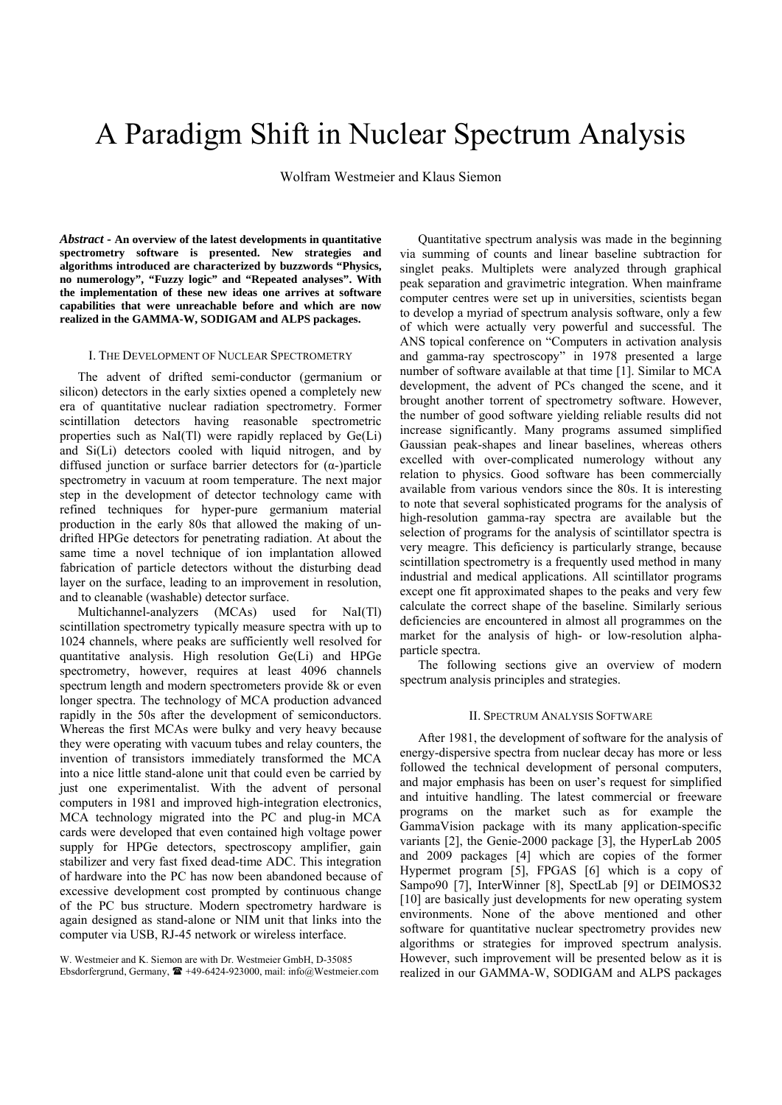# A Paradigm Shift in Nuclear Spectrum Analysis

Wolfram Westmeier and Klaus Siemon

*Abstract -* **An overview of the latest developments in quantitative spectrometry software is presented. New strategies and algorithms introduced are characterized by buzzwords "Physics, no numerology", "Fuzzy logic" and "Repeated analyses". With the implementation of these new ideas one arrives at software capabilities that were unreachable before and which are now realized in the GAMMA-W, SODIGAM and ALPS packages.** 

## I. THE DEVELOPMENT OF NUCLEAR SPECTROMETRY

The advent of drifted semi-conductor (germanium or silicon) detectors in the early sixties opened a completely new era of quantitative nuclear radiation spectrometry. Former scintillation detectors having reasonable spectrometric properties such as NaI(Tl) were rapidly replaced by Ge(Li) and Si(Li) detectors cooled with liquid nitrogen, and by diffused junction or surface barrier detectors for (α-)particle spectrometry in vacuum at room temperature. The next major step in the development of detector technology came with refined techniques for hyper-pure germanium material production in the early 80s that allowed the making of undrifted HPGe detectors for penetrating radiation. At about the same time a novel technique of ion implantation allowed fabrication of particle detectors without the disturbing dead layer on the surface, leading to an improvement in resolution, and to cleanable (washable) detector surface.

 Multichannel-analyzers (MCAs) used for NaI(Tl) scintillation spectrometry typically measure spectra with up to 1024 channels, where peaks are sufficiently well resolved for quantitative analysis. High resolution Ge(Li) and HPGe spectrometry, however, requires at least 4096 channels spectrum length and modern spectrometers provide 8k or even longer spectra. The technology of MCA production advanced rapidly in the 50s after the development of semiconductors. Whereas the first MCAs were bulky and very heavy because they were operating with vacuum tubes and relay counters, the invention of transistors immediately transformed the MCA into a nice little stand-alone unit that could even be carried by just one experimentalist. With the advent of personal computers in 1981 and improved high-integration electronics, MCA technology migrated into the PC and plug-in MCA cards were developed that even contained high voltage power supply for HPGe detectors, spectroscopy amplifier, gain stabilizer and very fast fixed dead-time ADC. This integration of hardware into the PC has now been abandoned because of excessive development cost prompted by continuous change of the PC bus structure. Modern spectrometry hardware is again designed as stand-alone or NIM unit that links into the computer via USB, RJ-45 network or wireless interface.

 Quantitative spectrum analysis was made in the beginning via summing of counts and linear baseline subtraction for singlet peaks. Multiplets were analyzed through graphical peak separation and gravimetric integration. When mainframe computer centres were set up in universities, scientists began to develop a myriad of spectrum analysis software, only a few of which were actually very powerful and successful. The ANS topical conference on "Computers in activation analysis and gamma-ray spectroscopy" in 1978 presented a large number of software available at that time [1]. Similar to MCA development, the advent of PCs changed the scene, and it brought another torrent of spectrometry software. However, the number of good software yielding reliable results did not increase significantly. Many programs assumed simplified Gaussian peak-shapes and linear baselines, whereas others excelled with over-complicated numerology without any relation to physics. Good software has been commercially available from various vendors since the 80s. It is interesting to note that several sophisticated programs for the analysis of high-resolution gamma-ray spectra are available but the selection of programs for the analysis of scintillator spectra is very meagre. This deficiency is particularly strange, because scintillation spectrometry is a frequently used method in many industrial and medical applications. All scintillator programs except one fit approximated shapes to the peaks and very few calculate the correct shape of the baseline. Similarly serious deficiencies are encountered in almost all programmes on the market for the analysis of high- or low-resolution alphaparticle spectra.

 The following sections give an overview of modern spectrum analysis principles and strategies.

#### II. SPECTRUM ANALYSIS SOFTWARE

 After 1981, the development of software for the analysis of energy-dispersive spectra from nuclear decay has more or less followed the technical development of personal computers, and major emphasis has been on user's request for simplified and intuitive handling. The latest commercial or freeware programs on the market such as for example the GammaVision package with its many application-specific variants [2], the Genie-2000 package [3], the HyperLab 2005 and 2009 packages [4] which are copies of the former Hypermet program [5], FPGAS [6] which is a copy of Sampo90 [7], InterWinner [8], SpectLab [9] or DEIMOS32 [10] are basically just developments for new operating system environments. None of the above mentioned and other software for quantitative nuclear spectrometry provides new algorithms or strategies for improved spectrum analysis. However, such improvement will be presented below as it is realized in our GAMMA-W, SODIGAM and ALPS packages

W. Westmeier and K. Siemon are with Dr. Westmeier GmbH, D-35085 Ebsdorfergrund, Germany,  $\mathbf{E}$  +49-6424-923000, mail: info@Westmeier.com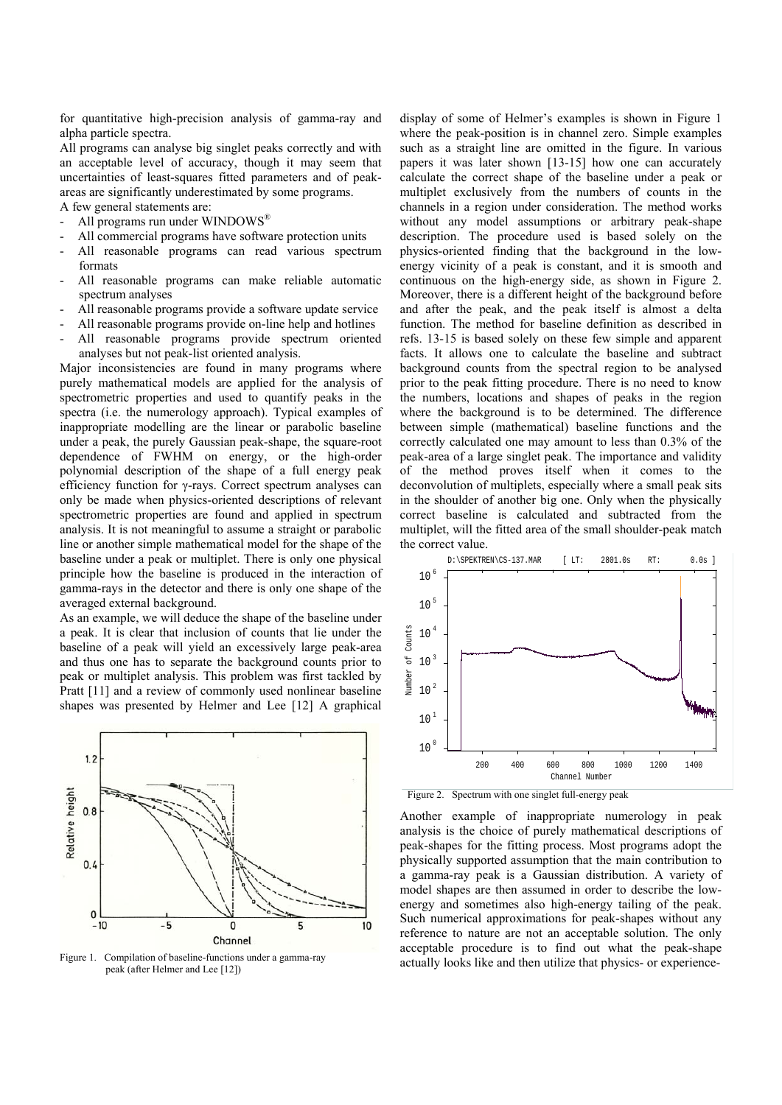for quantitative high-precision analysis of gamma-ray and alpha particle spectra.

All programs can analyse big singlet peaks correctly and with an acceptable level of accuracy, though it may seem that uncertainties of least-squares fitted parameters and of peakareas are significantly underestimated by some programs. A few general statements are:

- All programs run under WINDOWS<sup>®</sup>
- All commercial programs have software protection units
- All reasonable programs can read various spectrum formats
- All reasonable programs can make reliable automatic spectrum analyses
- All reasonable programs provide a software update service
- All reasonable programs provide on-line help and hotlines
- All reasonable programs provide spectrum oriented analyses but not peak-list oriented analysis.

Major inconsistencies are found in many programs where purely mathematical models are applied for the analysis of spectrometric properties and used to quantify peaks in the spectra (i.e. the numerology approach). Typical examples of inappropriate modelling are the linear or parabolic baseline under a peak, the purely Gaussian peak-shape, the square-root dependence of FWHM on energy, or the high-order polynomial description of the shape of a full energy peak efficiency function for γ-rays. Correct spectrum analyses can only be made when physics-oriented descriptions of relevant spectrometric properties are found and applied in spectrum analysis. It is not meaningful to assume a straight or parabolic line or another simple mathematical model for the shape of the baseline under a peak or multiplet. There is only one physical principle how the baseline is produced in the interaction of gamma-rays in the detector and there is only one shape of the averaged external background.

As an example, we will deduce the shape of the baseline under a peak. It is clear that inclusion of counts that lie under the baseline of a peak will yield an excessively large peak-area and thus one has to separate the background counts prior to peak or multiplet analysis. This problem was first tackled by Pratt [11] and a review of commonly used nonlinear baseline shapes was presented by Helmer and Lee [12] A graphical



Figure 1. Compilation of baseline-functions under a gamma-ray peak (after Helmer and Lee [12])

display of some of Helmer's examples is shown in Figure 1 where the peak-position is in channel zero. Simple examples such as a straight line are omitted in the figure. In various papers it was later shown [13-15] how one can accurately calculate the correct shape of the baseline under a peak or multiplet exclusively from the numbers of counts in the channels in a region under consideration. The method works without any model assumptions or arbitrary peak-shape description. The procedure used is based solely on the physics-oriented finding that the background in the lowenergy vicinity of a peak is constant, and it is smooth and continuous on the high-energy side, as shown in Figure 2. Moreover, there is a different height of the background before and after the peak, and the peak itself is almost a delta function. The method for baseline definition as described in refs. 13-15 is based solely on these few simple and apparent facts. It allows one to calculate the baseline and subtract background counts from the spectral region to be analysed prior to the peak fitting procedure. There is no need to know the numbers, locations and shapes of peaks in the region where the background is to be determined. The difference between simple (mathematical) baseline functions and the correctly calculated one may amount to less than 0.3% of the peak-area of a large singlet peak. The importance and validity of the method proves itself when it comes to the deconvolution of multiplets, especially where a small peak sits in the shoulder of another big one. Only when the physically correct baseline is calculated and subtracted from the multiplet, will the fitted area of the small shoulder-peak match the correct value.



Figure 2. Spectrum with one singlet full-energy peak

Another example of inappropriate numerology in peak analysis is the choice of purely mathematical descriptions of peak-shapes for the fitting process. Most programs adopt the physically supported assumption that the main contribution to a gamma-ray peak is a Gaussian distribution. A variety of model shapes are then assumed in order to describe the lowenergy and sometimes also high-energy tailing of the peak. Such numerical approximations for peak-shapes without any reference to nature are not an acceptable solution. The only acceptable procedure is to find out what the peak-shape actually looks like and then utilize that physics- or experience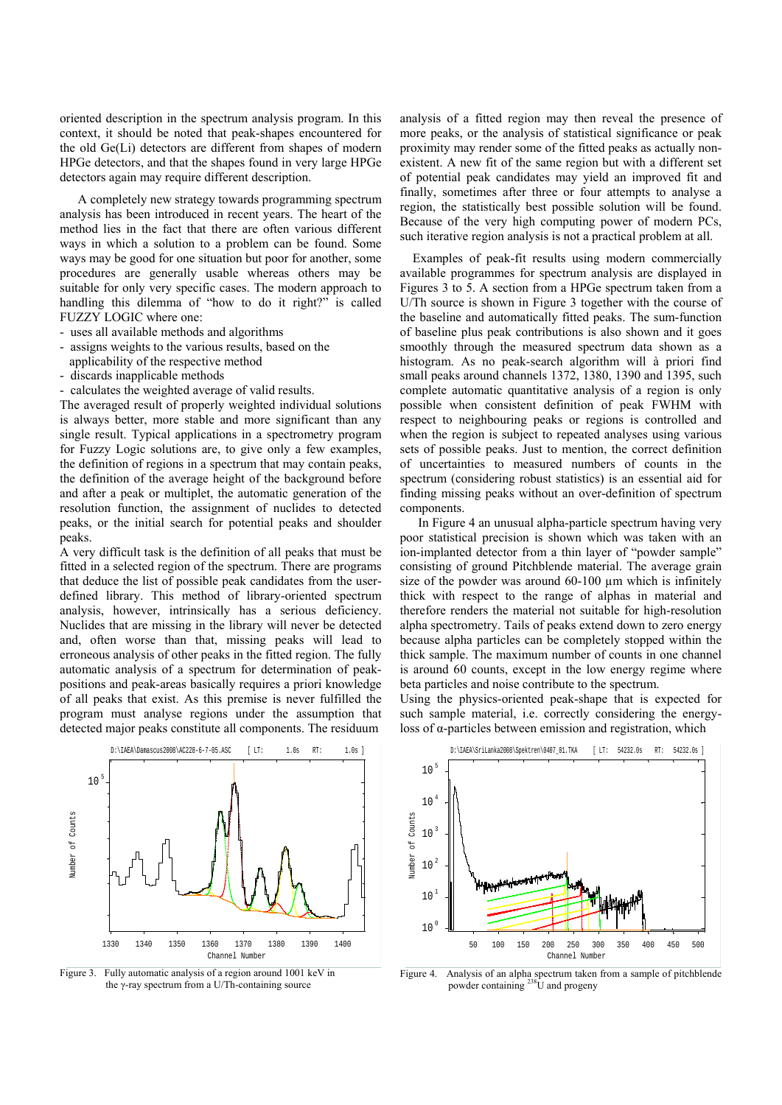oriented description in the spectrum analysis program. In this context, it should be noted that peak-shapes encountered for the old Ge(Li) detectors are different from shapes of modern HPGe detectors, and that the shapes found in very large HPGe detectors again may require different description.

 A completely new strategy towards programming spectrum analysis has been introduced in recent years. The heart of the method lies in the fact that there are often various different ways in which a solution to a problem can be found. Some ways may be good for one situation but poor for another, some procedures are generally usable whereas others may be suitable for only very specific cases. The modern approach to handling this dilemma of "how to do it right?" is called FUZZY LOGIC where one:

- uses all available methods and algorithms
- assigns weights to the various results, based on the applicability of the respective method
- discards inapplicable methods
- calculates the weighted average of valid results.

The averaged result of properly weighted individual solutions is always better, more stable and more significant than any single result. Typical applications in a spectrometry program for Fuzzy Logic solutions are, to give only a few examples, the definition of regions in a spectrum that may contain peaks, the definition of the average height of the background before and after a peak or multiplet, the automatic generation of the resolution function, the assignment of nuclides to detected peaks, or the initial search for potential peaks and shoulder peaks.

A very difficult task is the definition of all peaks that must be fitted in a selected region of the spectrum. There are programs that deduce the list of possible peak candidates from the userdefined library. This method of library-oriented spectrum analysis, however, intrinsically has a serious deficiency. Nuclides that are missing in the library will never be detected and, often worse than that, missing peaks will lead to erroneous analysis of other peaks in the fitted region. The fully automatic analysis of a spectrum for determination of peakpositions and peak-areas basically requires a priori knowledge of all peaks that exist. As this premise is never fulfilled the program must analyse regions under the assumption that detected major peaks constitute all components. The residuum

analysis of a fitted region may then reveal the presence of more peaks, or the analysis of statistical significance or peak proximity may render some of the fitted peaks as actually nonexistent. A new fit of the same region but with a different set of potential peak candidates may yield an improved fit and finally, sometimes after three or four attempts to analyse a region, the statistically best possible solution will be found. Because of the very high computing power of modern PCs, such iterative region analysis is not a practical problem at all.

 Examples of peak-fit results using modern commercially available programmes for spectrum analysis are displayed in Figures 3 to 5. A section from a HPGe spectrum taken from a U/Th source is shown in Figure 3 together with the course of the baseline and automatically fitted peaks. The sum-function of baseline plus peak contributions is also shown and it goes smoothly through the measured spectrum data shown as a histogram. As no peak-search algorithm will à priori find small peaks around channels 1372, 1380, 1390 and 1395, such complete automatic quantitative analysis of a region is only possible when consistent definition of peak FWHM with respect to neighbouring peaks or regions is controlled and when the region is subject to repeated analyses using various sets of possible peaks. Just to mention, the correct definition of uncertainties to measured numbers of counts in the spectrum (considering robust statistics) is an essential aid for finding missing peaks without an over-definition of spectrum components.

 In Figure 4 an unusual alpha-particle spectrum having very poor statistical precision is shown which was taken with an ion-implanted detector from a thin layer of "powder sample" consisting of ground Pitchblende material. The average grain size of the powder was around 60-100  $\mu$ m which is infinitely thick with respect to the range of alphas in material and therefore renders the material not suitable for high-resolution alpha spectrometry. Tails of peaks extend down to zero energy because alpha particles can be completely stopped within the thick sample. The maximum number of counts in one channel is around 60 counts, except in the low energy regime where beta particles and noise contribute to the spectrum.

Using the physics-oriented peak-shape that is expected for such sample material, i.e. correctly considering the energyloss of α-particles between emission and registration, which



Figure 3. Fully automatic analysis of a region around 1001 keV in the γ-ray spectrum from a U/Th-containing source



Figure 4. Analysis of an alpha spectrum taken from a sample of pitchblende powder containing  $^{238}$ U and progeny